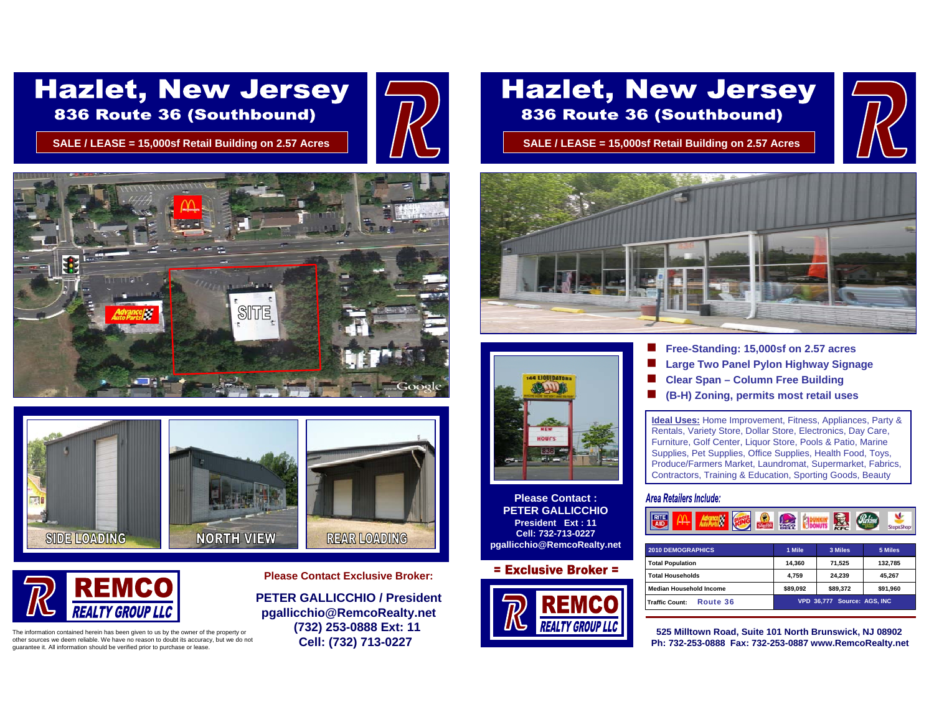# **Hazlet, New Jersey** 836 Route 36 (Southbound)

**SALE / LEASE = 15,000sf Retail Building on 2.57 Acres SALE / LEASE = 15,000sf Retail Building on 2.57 Acres**







The information contained herein has been given to us by the owner of the property or other sources we deem reliable. We have no reason to doubt its accuracy, but we do not guarantee it. All information should be verified prior to purchase or lease.

**Please Contact Exclusive Broker:**

**PETER GALLICCHIO / Presidentpgallicchio@RemcoRealty.net (732) 253-0888 Ext: 11 Cell: (732) 713-0227**

## **Hazlet, New Jersey** 836 Route 36 (Southbound)







**Please Contact :PETER GALLICCHIOPresident Ext : 11Cell: 732-713-0227pgallicchio@RemcoRealty.net**

#### $=$  Exclusive Broker  $=$



- П **Free-Standing: 15,000sf on 2.57 acres**
- ▉ **Large Two Panel Pylon Highway Signage**
- П **Clear Span – Column Free Building**
- П **(B-H) Zoning, permits most retail uses**

**Ideal Uses:** Home Improvement, Fitness, Appliances, Party & Rentals, Variety Store, Dollar Store, Electronics, Day Care, Furniture, Golf Center, Liquor Store, Pools & Patio, Marine Supplies, Pet Supplies, Office Supplies, Health Food, Toys, Produce/Farmers Market, Laundromat, Supermarket, Fabrics, Contractors, Training & Education, Sporting Goods, Beauty

#### Area Retailers Include:

### **R. Schins COLLEGE CRANNEL**

| <b>2010 DEMOGRAPHICS</b>          | 1 Mile                      | 3 Miles  | 5 Miles  |
|-----------------------------------|-----------------------------|----------|----------|
| <b>Total Population</b>           | 14.360                      | 71.525   | 132.785  |
| <b>Total Households</b>           | 4.759                       | 24.239   | 45.267   |
| <b>Median Household Income</b>    | \$89.092                    | \$89.372 | \$91,960 |
| Route 36<br><b>Traffic Count:</b> | VPD 36.777 Source: AGS. INC |          |          |

**525 Milltown Road, Suite 101 North Brunswick, NJ 08902 Ph: 732-253-0888 Fax: 732-253-0887 www.RemcoRealty.net**